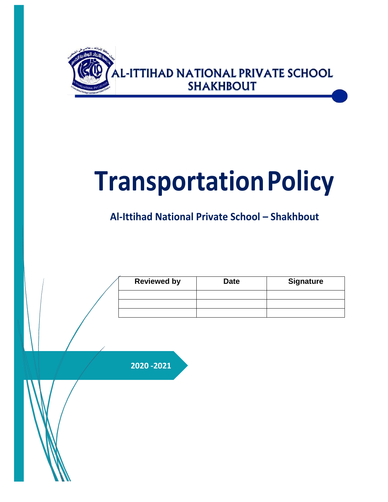

# **TransportationPolicy**

**Al-Ittihad National Private School – Shakhbout**

| <b>Reviewed by</b> | <b>Date</b> | <b>Signature</b> |
|--------------------|-------------|------------------|
|                    |             |                  |
|                    |             |                  |
|                    |             |                  |

**2020 -2021**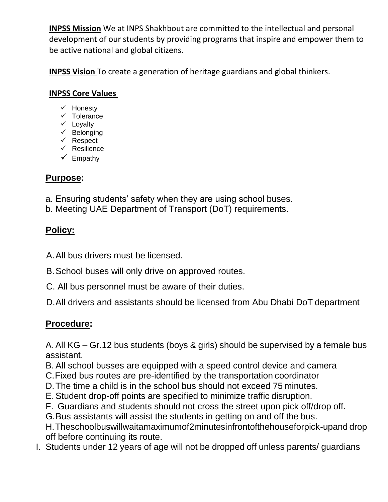**INPSS Mission** We at INPS Shakhbout are committed to the intellectual and personal development of our students by providing programs that inspire and empower them to be active national and global citizens.

**INPSS Vision** To create a generation of heritage guardians and global thinkers.

#### **INPSS Core Values**

- $\checkmark$  Honesty
- $\checkmark$  Tolerance
- $\checkmark$  Loyalty
- $\checkmark$  Belonging
- $\times$  Respect
- $\checkmark$  Resilience
- $\checkmark$  Empathy

### **Purpose:**

- a. Ensuring students' safety when they are using school buses.
- b. Meeting UAE Department of Transport (DoT) requirements.

## **Policy:**

A.All bus drivers must be licensed.

B.School buses will only drive on approved routes.

- C. All bus personnel must be aware of their duties.
- D.All drivers and assistants should be licensed from Abu Dhabi DoT department

## **Procedure:**

A.All KG – Gr.12 bus students (boys & girls) should be supervised by a female bus assistant.

- B. All school busses are equipped with a speed control device and camera
- C.Fixed bus routes are pre-identified by the transportation coordinator
- D.The time a child is in the school bus should not exceed 75 minutes.
- E. Student drop-off points are specified to minimize traffic disruption.
- F. Guardians and students should not cross the street upon pick off/drop off.
- G.Bus assistants will assist the students in getting on and off the bus.

H.Theschoolbuswillwaitamaximumof2minutesinfrontofthehouseforpick-upand drop off before continuing its route.

I. Students under 12 years of age will not be dropped off unless parents/ guardians